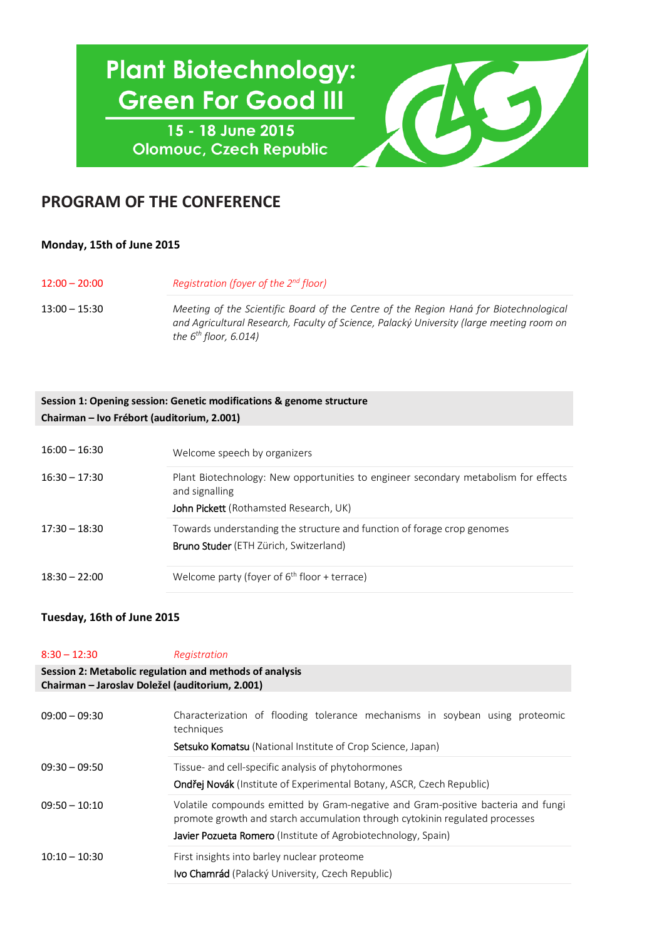# **Plant Biotechnology: Green For Good III**

15 - 18 June 2015 **Olomouc, Czech Republic** 



## **PROGRAM OF THE CONFERENCE**

### **Monday, 15th of June 2015**

| $12:00 - 20:00$ | Registration (foyer of the 2 <sup>nd</sup> floor)                                                                                                                                                               |
|-----------------|-----------------------------------------------------------------------------------------------------------------------------------------------------------------------------------------------------------------|
| 13:00 – 15:30   | Meeting of the Scientific Board of the Centre of the Region Haná for Biotechnological<br>and Agricultural Research, Faculty of Science, Palacký University (large meeting room on<br>the $6^{th}$ floor, 6.014) |

#### **Session 1: Opening session: Genetic modifications & genome structure Chairman – Ivo Frébort (auditorium, 2.001)**

| $16:00 - 16:30$ | Welcome speech by organizers                                                                                                                    |
|-----------------|-------------------------------------------------------------------------------------------------------------------------------------------------|
| $16:30 - 17:30$ | Plant Biotechnology: New opportunities to engineer secondary metabolism for effects<br>and signalling<br>John Pickett (Rothamsted Research, UK) |
| $17:30 - 18:30$ | Towards understanding the structure and function of forage crop genomes<br><b>Bruno Studer</b> (ETH Zürich, Switzerland)                        |
| $18:30 - 22:00$ | Welcome party (foyer of $6th$ floor + terrace)                                                                                                  |

#### **Tuesday, 16th of June 2015**

| $8:30 - 12:30$                                                                                             | Registration                                                                                                                                                                                                                             |
|------------------------------------------------------------------------------------------------------------|------------------------------------------------------------------------------------------------------------------------------------------------------------------------------------------------------------------------------------------|
| Session 2: Metabolic regulation and methods of analysis<br>Chairman - Jaroslav Doležel (auditorium, 2.001) |                                                                                                                                                                                                                                          |
| $09:00 - 09:30$                                                                                            | Characterization of flooding tolerance mechanisms in soybean using proteomic<br>techniques<br><b>Setsuko Komatsu</b> (National Institute of Crop Science, Japan)                                                                         |
| $09:30 - 09:50$                                                                                            | Tissue- and cell-specific analysis of phytohormones<br>Ondřej Novák (Institute of Experimental Botany, ASCR, Czech Republic)                                                                                                             |
| $09:50 - 10:10$                                                                                            | Volatile compounds emitted by Gram-negative and Gram-positive bacteria and fungi<br>promote growth and starch accumulation through cytokinin regulated processes<br><b>Javier Pozueta Romero</b> (Institute of Agrobiotechnology, Spain) |
| $10:10 - 10:30$                                                                                            | First insights into barley nuclear proteome<br><b>Ivo Chamrád</b> (Palacký University, Czech Republic)                                                                                                                                   |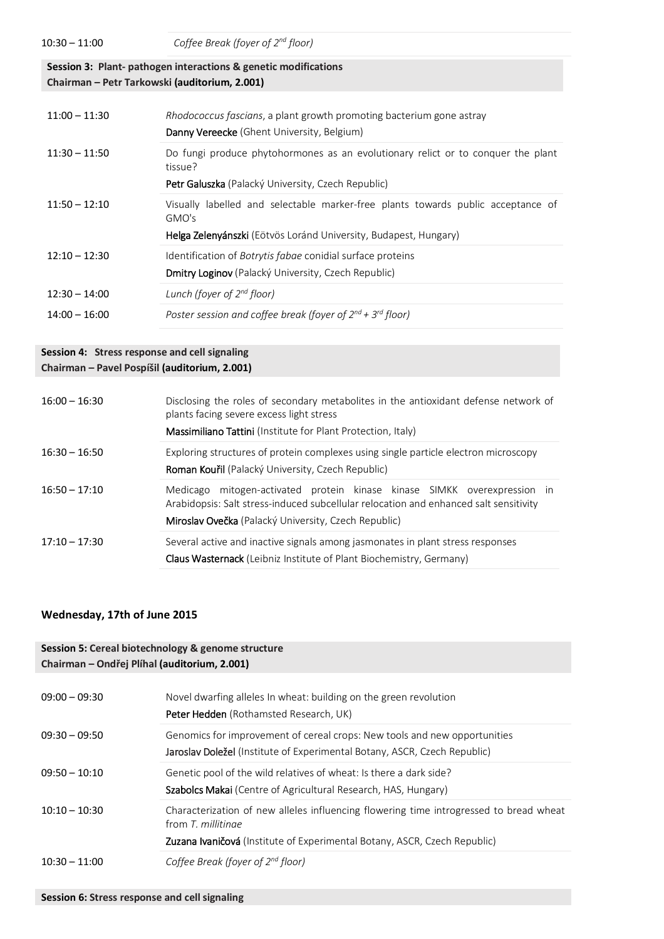**Session 3: Plant- pathogen interactions & genetic modifications Chairman – Petr Tarkowski (auditorium, 2.001)**

| $11:00 - 11:30$ | Rhodococcus fascians, a plant growth promoting bacterium gone astray<br><b>Danny Vereecke</b> (Ghent University, Belgium)       |
|-----------------|---------------------------------------------------------------------------------------------------------------------------------|
| $11:30 - 11:50$ | Do fungi produce phytohormones as an evolutionary relict or to conquer the plant<br>tissue?                                     |
|                 | Petr Galuszka (Palacký University, Czech Republic)                                                                              |
| $11:50 - 12:10$ | Visually labelled and selectable marker-free plants towards public acceptance of<br>GMO's                                       |
|                 | Helga Zelenyánszki (Eötvös Loránd University, Budapest, Hungary)                                                                |
| $12:10 - 12:30$ | Identification of <i>Botrytis fabae</i> conidial surface proteins<br><b>Dmitry Loginov</b> (Palacký University, Czech Republic) |
|                 |                                                                                                                                 |
| $12:30 - 14:00$ | Lunch (foyer of $2^{nd}$ floor)                                                                                                 |
| $14:00 - 16:00$ | Poster session and coffee break (foyer of $2^{nd}$ + $3^{rd}$ floor)                                                            |

#### **Session 4: Stress response and cell signaling Chairman – Pavel Pospíšil (auditorium, 2.001)**

| $16:00 - 16:30$ | Disclosing the roles of secondary metabolites in the antioxidant defense network of<br>plants facing severe excess light stress<br>Massimiliano Tattini (Institute for Plant Protection, Italy)                              |
|-----------------|------------------------------------------------------------------------------------------------------------------------------------------------------------------------------------------------------------------------------|
| $16:30 - 16:50$ | Exploring structures of protein complexes using single particle electron microscopy<br><b>Roman Kouřil</b> (Palacký University, Czech Republic)                                                                              |
| $16:50 - 17:10$ | mitogen-activated protein kinase kinase SIMKK overexpression in<br>Medicago<br>Arabidopsis: Salt stress-induced subcellular relocation and enhanced salt sensitivity<br>Miroslav Ovečka (Palacký University, Czech Republic) |
| $17:10 - 17:30$ | Several active and inactive signals among jasmonates in plant stress responses<br><b>Claus Wasternack</b> (Leibniz Institute of Plant Biochemistry, Germany)                                                                 |

#### **Wednesday, 17th of June 2015**

| Session 5: Cereal biotechnology & genome structure<br>Chairman – Ondřej Plíhal (auditorium, 2.001) |                                                                                                                                                                                           |
|----------------------------------------------------------------------------------------------------|-------------------------------------------------------------------------------------------------------------------------------------------------------------------------------------------|
| $09:00 - 09:30$                                                                                    | Novel dwarfing alleles In wheat: building on the green revolution<br><b>Peter Hedden</b> (Rothamsted Research, UK)                                                                        |
| $09:30 - 09:50$                                                                                    | Genomics for improvement of cereal crops: New tools and new opportunities<br>Jaroslav Doležel (Institute of Experimental Botany, ASCR, Czech Republic)                                    |
| $09:50 - 10:10$                                                                                    | Genetic pool of the wild relatives of wheat: Is there a dark side?<br><b>Szabolcs Makai</b> (Centre of Agricultural Research, HAS, Hungary)                                               |
| $10:10 - 10:30$                                                                                    | Characterization of new alleles influencing flowering time introgressed to bread wheat<br>from T. millitinge<br>Zuzana Ivaničová (Institute of Experimental Botany, ASCR, Czech Republic) |
| $10:30 - 11:00$                                                                                    | Coffee Break (foyer of $2^{nd}$ floor)                                                                                                                                                    |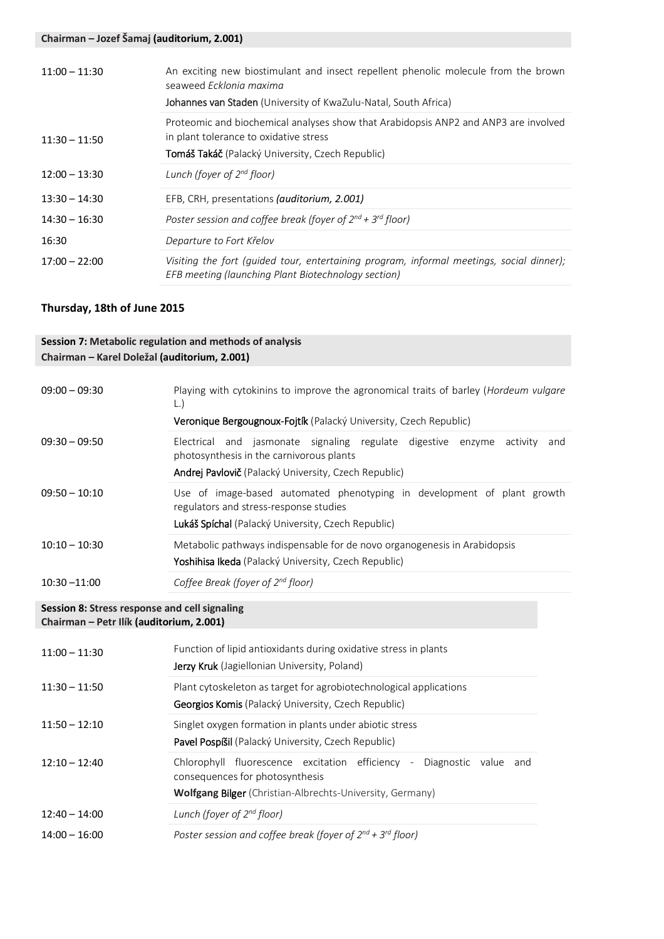| $11:00 - 11:30$ | An exciting new biostimulant and insect repellent phenolic molecule from the brown<br>seaweed Ecklonia maxima<br>Johannes van Staden (University of KwaZulu-Natal, South Africa)         |
|-----------------|------------------------------------------------------------------------------------------------------------------------------------------------------------------------------------------|
| $11:30 - 11:50$ | Proteomic and biochemical analyses show that Arabidopsis ANP2 and ANP3 are involved<br>in plant tolerance to oxidative stress<br><b>Tomáš Takáč</b> (Palacký University, Czech Republic) |
| $12:00 - 13:30$ | Lunch (foyer of $2^{nd}$ floor)                                                                                                                                                          |
| $13:30 - 14:30$ | EFB, CRH, presentations (auditorium, 2.001)                                                                                                                                              |
| $14:30 - 16:30$ | Poster session and coffee break (foyer of $2^{nd}$ + $3^{rd}$ floor)                                                                                                                     |
| 16:30           | Departure to Fort Křelov                                                                                                                                                                 |
| $17:00 - 22:00$ | Visiting the fort (guided tour, entertaining program, informal meetings, social dinner);<br>EFB meeting (launching Plant Biotechnology section)                                          |

#### **Thursday, 18th of June 2015**

**Session 7: Metabolic regulation and methods of analysis**

| Chairman - Karel Doležal (auditorium, 2.001) |                                                                                                                                                                                          |
|----------------------------------------------|------------------------------------------------------------------------------------------------------------------------------------------------------------------------------------------|
| $09:00 - 09:30$                              | Playing with cytokinins to improve the agronomical traits of barley ( <i>Hordeum vulgare</i><br>$\lfloor . \rfloor$<br>Veronique Bergougnoux-Fojtík (Palacký University, Czech Republic) |
| $09:30 - 09:50$                              | Electrical and jasmonate signaling regulate digestive enzyme<br>activity<br>and<br>photosynthesis in the carnivorous plants<br>Andrej Pavlovič (Palacký University, Czech Republic)      |
| $09:50 - 10:10$                              | Use of image-based automated phenotyping in development of plant growth<br>regulators and stress-response studies<br>Lukáš Spíchal (Palacký University, Czech Republic)                  |
| $10:10 - 10:30$                              | Metabolic pathways indispensable for de novo organogenesis in Arabidopsis<br>Yoshihisa Ikeda (Palacký University, Czech Republic)                                                        |
| $10:30 - 11:00$                              | Coffee Break (foyer of $2^{nd}$ floor)                                                                                                                                                   |
|                                              |                                                                                                                                                                                          |

#### **Session 8: Stress response and cell signaling Chairman – Petr Ilík (auditorium, 2.001)**

| $11:00 - 11:30$ | Function of lipid antioxidants during oxidative stress in plants<br>Jerzy Kruk (Jagiellonian University, Poland)                                                                |
|-----------------|---------------------------------------------------------------------------------------------------------------------------------------------------------------------------------|
| $11:30 - 11:50$ | Plant cytoskeleton as target for agrobiotechnological applications<br>Georgios Komis (Palacký University, Czech Republic)                                                       |
| $11:50 - 12:10$ | Singlet oxygen formation in plants under abiotic stress<br>Pavel Pospíšil (Palacký University, Czech Republic)                                                                  |
| $12:10 - 12:40$ | Chlorophyll fluorescence excitation efficiency -<br>Diagnostic value and<br>consequences for photosynthesis<br><b>Wolfgang Bilger</b> (Christian-Albrechts-University, Germany) |
| $12:40 - 14:00$ | Lunch (foyer of $2^{nd}$ floor)                                                                                                                                                 |
| $14:00 - 16:00$ | Poster session and coffee break (foyer of $2^{nd}$ + $3^{rd}$ floor)                                                                                                            |